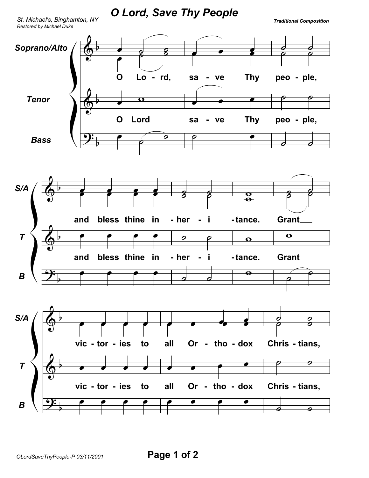*O Lord, Save Thy People St. Michael's, Binghamton, NY Traditional Composition*

*Restored by Michael Duke*



**/**  $T \left( \frac{1}{2} \right)$  $\frac{1}{2}$   $\frac{1}{2}$ t<br>**vic - tor - ies** t<br>t<br>t<br>**to**  $\bullet$   $\bullet$   $\bullet$   $\bullet$ t<br>a **all** t<br>a **Or - tho - dox** t  $\bullet$   $\bullet$   $\bullet$   $\bullet$ **Chris - tians,**  $\theta$   $\theta$